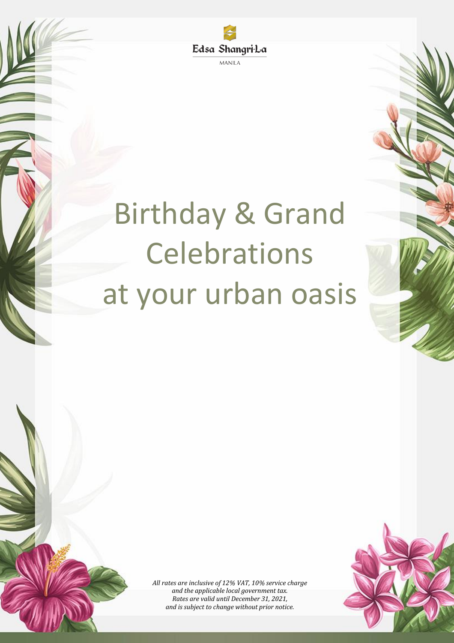

**MANILA** 

# Birthday & Grand Celebrations at your urban oasis



*All rates are inclusive of 12% VAT, 10% service charge and the applicable local government tax. Rates are valid until December 31, 2021, and is subject to change without prior notice.*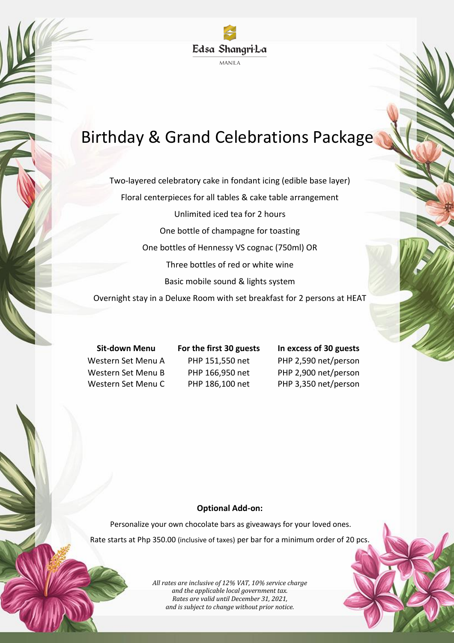

# Birthday & Grand Celebrations Package

Two-layered celebratory cake in fondant icing (edible base layer) Floral centerpieces for all tables & cake table arrangement Unlimited iced tea for 2 hours One bottle of champagne for toasting One bottles of Hennessy VS cognac (750ml) OR Three bottles of red or white wine Basic mobile sound & lights system

Overnight stay in a Deluxe Room with set breakfast for 2 persons at HEAT

**Sit-down Menu For the first 30 guests In excess of 30 guests** Western Set Menu A PHP 151,550 net PHP 2,590 net/person

Western Set Menu B PHP 166,950 net PHP 2,900 net/person Western Set Menu C PHP 186,100 net PHP 3,350 net/person

## **Optional Add-on:**

Personalize your own chocolate bars as giveaways for your loved ones. Rate starts at Php 350.00 (inclusive of taxes) per bar for a minimum order of 20 pcs.

> *All rates are inclusive of 12% VAT, 10% service charge and the applicable local government tax. Rates are valid until December 31, 2021, and is subject to change without prior notice.*